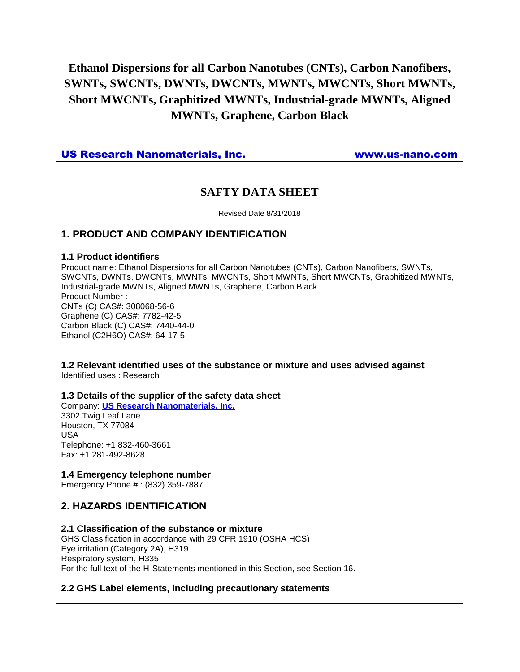# **Ethanol Dispersions for all Carbon Nanotubes (CNTs), Carbon Nanofibers, SWNTs, SWCNTs, DWNTs, DWCNTs, MWNTs, MWCNTs, Short MWNTs, Short MWCNTs, Graphitized MWNTs, Industrial-grade MWNTs, Aligned MWNTs, Graphene, Carbon Black**

# US Research Nanomaterials, Inc. www.us-nano.com

# **SAFTY DATA SHEET**

Revised Date 8/31/2018

# **1. PRODUCT AND COMPANY IDENTIFICATION**

### **1.1 Product identifiers**

Product name: Ethanol Dispersions for all Carbon Nanotubes (CNTs), Carbon Nanofibers, SWNTs, SWCNTs, DWNTs, DWCNTs, MWNTs, MWCNTs, Short MWNTs, Short MWCNTs, Graphitized MWNTs, Industrial-grade MWNTs, Aligned MWNTs, Graphene, Carbon Black Product Number : CNTs (C) CAS#: 308068-56-6 Graphene (C) CAS#: 7782-42-5 Carbon Black (C) CAS#: 7440-44-0 Ethanol (C2H6O) CAS#: 64-17-5

### **1.2 Relevant identified uses of the substance or mixture and uses advised against** Identified uses : Research

### **1.3 Details of the supplier of the safety data sheet**

Company: **[US Research Nanomaterials, Inc.](http://www.us-nano.com/)** 3302 Twig Leaf Lane Houston, TX 77084 USA Telephone: +1 832-460-3661 Fax: +1 281-492-8628

### **1.4 Emergency telephone number**

Emergency Phone # : (832) 359-7887

# **2. HAZARDS IDENTIFICATION**

### **2.1 Classification of the substance or mixture**

GHS Classification in accordance with 29 CFR 1910 (OSHA HCS) Eye irritation (Category 2A), H319 Respiratory system, H335 For the full text of the H-Statements mentioned in this Section, see Section 16.

### **2.2 GHS Label elements, including precautionary statements**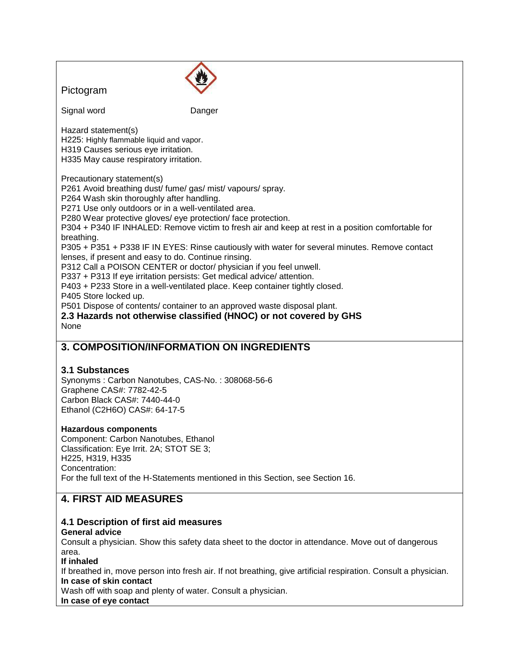| Pictogram                                                                                                                                                                                                                                                                                                                                                                                                                                                                                                                                                                                                                                                                                                                                                                                                                                                                                                                                                             |        |
|-----------------------------------------------------------------------------------------------------------------------------------------------------------------------------------------------------------------------------------------------------------------------------------------------------------------------------------------------------------------------------------------------------------------------------------------------------------------------------------------------------------------------------------------------------------------------------------------------------------------------------------------------------------------------------------------------------------------------------------------------------------------------------------------------------------------------------------------------------------------------------------------------------------------------------------------------------------------------|--------|
| Signal word                                                                                                                                                                                                                                                                                                                                                                                                                                                                                                                                                                                                                                                                                                                                                                                                                                                                                                                                                           | Danger |
| Hazard statement(s)<br>H225: Highly flammable liquid and vapor.<br>H319 Causes serious eye irritation.<br>H335 May cause respiratory irritation.                                                                                                                                                                                                                                                                                                                                                                                                                                                                                                                                                                                                                                                                                                                                                                                                                      |        |
| Precautionary statement(s)<br>P261 Avoid breathing dust/ fume/ gas/ mist/ vapours/ spray.<br>P264 Wash skin thoroughly after handling.<br>P271 Use only outdoors or in a well-ventilated area.<br>P280 Wear protective gloves/ eye protection/ face protection.<br>P304 + P340 IF INHALED: Remove victim to fresh air and keep at rest in a position comfortable for<br>breathing.<br>P305 + P351 + P338 IF IN EYES: Rinse cautiously with water for several minutes. Remove contact<br>lenses, if present and easy to do. Continue rinsing.<br>P312 Call a POISON CENTER or doctor/ physician if you feel unwell.<br>P337 + P313 If eye irritation persists: Get medical advice/ attention.<br>P403 + P233 Store in a well-ventilated place. Keep container tightly closed.<br>P405 Store locked up.<br>P501 Dispose of contents/ container to an approved waste disposal plant.<br>2.3 Hazards not otherwise classified (HNOC) or not covered by GHS<br><b>None</b> |        |
| 3. COMPOSITION/INFORMATION ON INGREDIENTS                                                                                                                                                                                                                                                                                                                                                                                                                                                                                                                                                                                                                                                                                                                                                                                                                                                                                                                             |        |
| <b>3.1 Substances</b><br>Synonyms: Carbon Nanotubes, CAS-No.: 308068-56-6<br>Graphene CAS#: 7782-42-5<br>Carbon Black CAS#: 7440-44-0<br>Ethanol (C2H6O) CAS#: 64-17-5                                                                                                                                                                                                                                                                                                                                                                                                                                                                                                                                                                                                                                                                                                                                                                                                |        |
| <b>Hazardous components</b>                                                                                                                                                                                                                                                                                                                                                                                                                                                                                                                                                                                                                                                                                                                                                                                                                                                                                                                                           |        |

Component: Carbon Nanotubes, Ethanol Classification: Eye Irrit. 2A; STOT SE 3; H225, H319, H335 Concentration: For the full text of the H-Statements mentioned in this Section, see Section 16.

# **4. FIRST AID MEASURES**

# **4.1 Description of first aid measures**

# **General advice**

Consult a physician. Show this safety data sheet to the doctor in attendance. Move out of dangerous area.

### **If inhaled**

If breathed in, move person into fresh air. If not breathing, give artificial respiration. Consult a physician. **In case of skin contact**

Wash off with soap and plenty of water. Consult a physician.

### **In case of eye contact**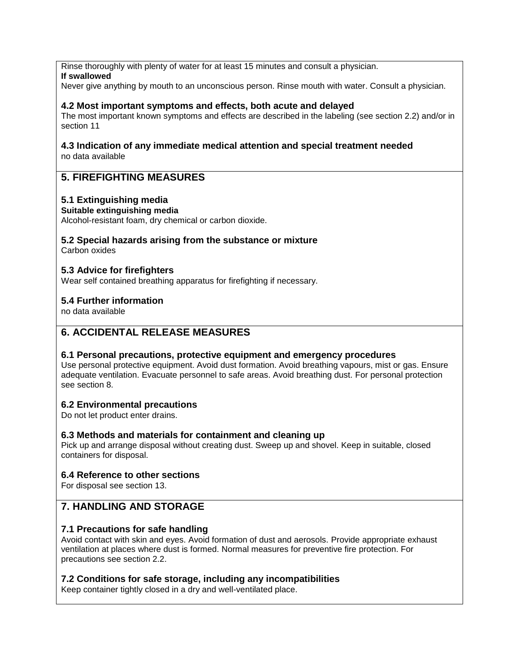Rinse thoroughly with plenty of water for at least 15 minutes and consult a physician.

### **If swallowed**

Never give anything by mouth to an unconscious person. Rinse mouth with water. Consult a physician.

### **4.2 Most important symptoms and effects, both acute and delayed**

The most important known symptoms and effects are described in the labeling (see section 2.2) and/or in section 11

#### **4.3 Indication of any immediate medical attention and special treatment needed** no data available

# **5. FIREFIGHTING MEASURES**

### **5.1 Extinguishing media**

### **Suitable extinguishing media**

Alcohol-resistant foam, dry chemical or carbon dioxide.

# **5.2 Special hazards arising from the substance or mixture**

Carbon oxides

### **5.3 Advice for firefighters**

Wear self contained breathing apparatus for firefighting if necessary.

### **5.4 Further information**

no data available

# **6. ACCIDENTAL RELEASE MEASURES**

### **6.1 Personal precautions, protective equipment and emergency procedures**

Use personal protective equipment. Avoid dust formation. Avoid breathing vapours, mist or gas. Ensure adequate ventilation. Evacuate personnel to safe areas. Avoid breathing dust. For personal protection see section 8.

### **6.2 Environmental precautions**

Do not let product enter drains.

### **6.3 Methods and materials for containment and cleaning up**

Pick up and arrange disposal without creating dust. Sweep up and shovel. Keep in suitable, closed containers for disposal.

### **6.4 Reference to other sections**

For disposal see section 13.

# **7. HANDLING AND STORAGE**

### **7.1 Precautions for safe handling**

Avoid contact with skin and eyes. Avoid formation of dust and aerosols. Provide appropriate exhaust ventilation at places where dust is formed. Normal measures for preventive fire protection. For precautions see section 2.2.

### **7.2 Conditions for safe storage, including any incompatibilities**

Keep container tightly closed in a dry and well-ventilated place.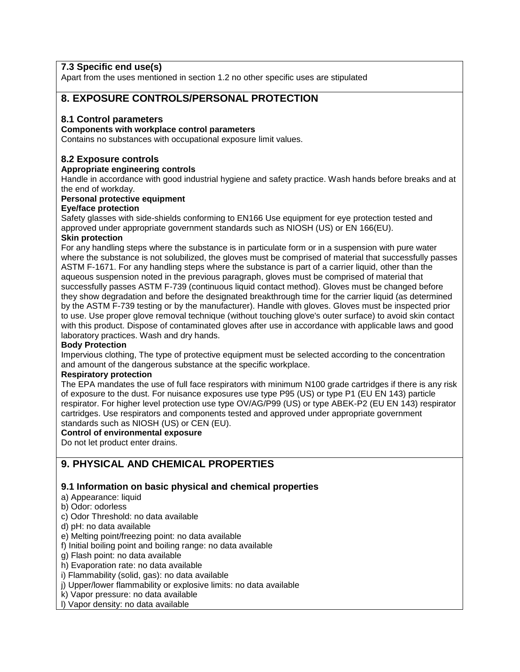# **7.3 Specific end use(s)**

Apart from the uses mentioned in section 1.2 no other specific uses are stipulated

### **8. EXPOSURE CONTROLS/PERSONAL PROTECTION**

### **8.1 Control parameters**

#### **Components with workplace control parameters**

Contains no substances with occupational exposure limit values.

### **8.2 Exposure controls**

### **Appropriate engineering controls**

Handle in accordance with good industrial hygiene and safety practice. Wash hands before breaks and at the end of workday.

#### **Personal protective equipment**

#### **Eye/face protection**

Safety glasses with side-shields conforming to EN166 Use equipment for eye protection tested and approved under appropriate government standards such as NIOSH (US) or EN 166(EU).

### **Skin protection**

For any handling steps where the substance is in particulate form or in a suspension with pure water where the substance is not solubilized, the gloves must be comprised of material that successfully passes ASTM F-1671. For any handling steps where the substance is part of a carrier liquid, other than the aqueous suspension noted in the previous paragraph, gloves must be comprised of material that successfully passes ASTM F-739 (continuous liquid contact method). Gloves must be changed before they show degradation and before the designated breakthrough time for the carrier liquid (as determined by the ASTM F-739 testing or by the manufacturer). Handle with gloves. Gloves must be inspected prior to use. Use proper glove removal technique (without touching glove's outer surface) to avoid skin contact with this product. Dispose of contaminated gloves after use in accordance with applicable laws and good laboratory practices. Wash and dry hands.

### **Body Protection**

Impervious clothing, The type of protective equipment must be selected according to the concentration and amount of the dangerous substance at the specific workplace.

### **Respiratory protection**

The EPA mandates the use of full face respirators with minimum N100 grade cartridges if there is any risk of exposure to the dust. For nuisance exposures use type P95 (US) or type P1 (EU EN 143) particle respirator. For higher level protection use type OV/AG/P99 (US) or type ABEK-P2 (EU EN 143) respirator cartridges. Use respirators and components tested and approved under appropriate government standards such as NIOSH (US) or CEN (EU).

### **Control of environmental exposure**

Do not let product enter drains.

# **9. PHYSICAL AND CHEMICAL PROPERTIES**

### **9.1 Information on basic physical and chemical properties**

- a) Appearance: liquid
- b) Odor: odorless
- c) Odor Threshold: no data available
- d) pH: no data available

### e) Melting point/freezing point: no data available

- f) Initial boiling point and boiling range: no data available
- g) Flash point: no data available
- h) Evaporation rate: no data available
- i) Flammability (solid, gas): no data available
- j) Upper/lower flammability or explosive limits: no data available
- k) Vapor pressure: no data available
- l) Vapor density: no data available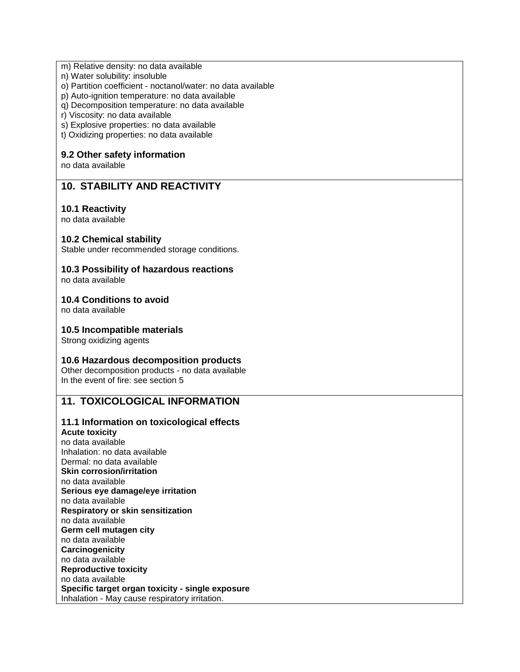#### m) Relative density: no data available

- n) Water solubility: insoluble
- o) Partition coefficient noctanol/water: no data available
- p) Auto-ignition temperature: no data available
- q) Decomposition temperature: no data available
- r) Viscosity: no data available
- s) Explosive properties: no data available
- t) Oxidizing properties: no data available

### **9.2 Other safety information**

no data available

# **10. STABILITY AND REACTIVITY**

### **10.1 Reactivity**

no data available

### **10.2 Chemical stability**

Stable under recommended storage conditions.

### **10.3 Possibility of hazardous reactions**

no data available

### **10.4 Conditions to avoid**

no data available

### **10.5 Incompatible materials**

Strong oxidizing agents

### **10.6 Hazardous decomposition products**

Other decomposition products - no data available In the event of fire: see section 5

### **11. TOXICOLOGICAL INFORMATION**

### **11.1 Information on toxicological effects**

**Acute toxicity** no data available Inhalation: no data available Dermal: no data available **Skin corrosion/irritation** no data available **Serious eye damage/eye irritation** no data available **Respiratory or skin sensitization** no data available **Germ cell mutagen city** no data available **Carcinogenicity** no data available **Reproductive toxicity** no data available **Specific target organ toxicity - single exposure** Inhalation - May cause respiratory irritation.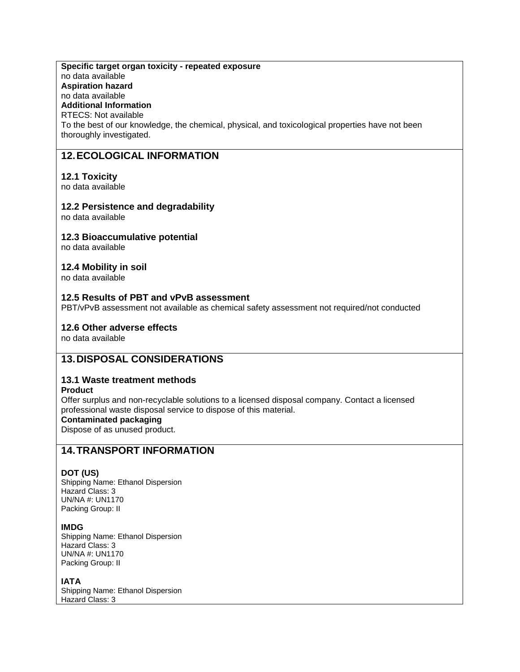### **Specific target organ toxicity - repeated exposure**

no data available **Aspiration hazard**

# no data available

**Additional Information**

RTECS: Not available

To the best of our knowledge, the chemical, physical, and toxicological properties have not been thoroughly investigated.

# **12.ECOLOGICAL INFORMATION**

### **12.1 Toxicity**

no data available

### **12.2 Persistence and degradability**

no data available

### **12.3 Bioaccumulative potential**

no data available

### **12.4 Mobility in soil**

no data available

### **12.5 Results of PBT and vPvB assessment**

PBT/vPvB assessment not available as chemical safety assessment not required/not conducted

### **12.6 Other adverse effects**

no data available

# **13.DISPOSAL CONSIDERATIONS**

### **13.1 Waste treatment methods**

**Product**

Offer surplus and non-recyclable solutions to a licensed disposal company. Contact a licensed professional waste disposal service to dispose of this material.

### **Contaminated packaging**

Dispose of as unused product.

# **14.TRANSPORT INFORMATION**

### **DOT (US)**

Shipping Name: Ethanol Dispersion Hazard Class: 3 UN/NA #: UN1170 Packing Group: II

### **IMDG**

Shipping Name: Ethanol Dispersion Hazard Class: 3 UN/NA #: UN1170 Packing Group: II

### **IATA**

Shipping Name: Ethanol Dispersion Hazard Class: 3